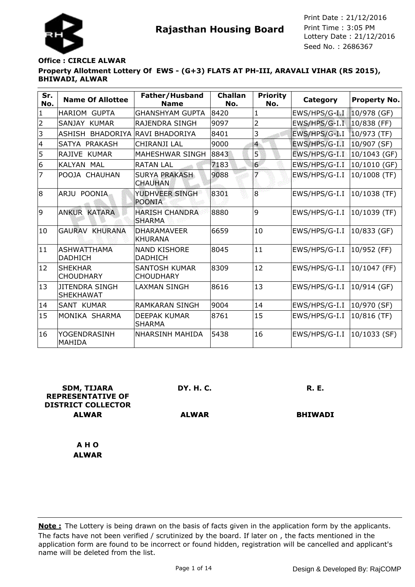



Seed No. : 2686367 Print Date : 21/12/2016 Print Time : 3:05 PM

# **Property Allotment Lottery Of EWS - (G+3) FLATS AT PH-III, ARAVALI VIHAR (RS 2015), BHIWADI, ALWAR Office : CIRCLE ALWAR**

| Sr.<br>No.     | <b>Name Of Allottee</b>                   | Father/Husband<br><b>Name</b>            | <b>Challan</b><br>No. | <b>Priority</b><br>No. | Category      | <b>Property No.</b> |
|----------------|-------------------------------------------|------------------------------------------|-----------------------|------------------------|---------------|---------------------|
| $\mathbf{1}$   | <b>HARIOM GUPTA</b>                       | <b>GHANSHYAM GUPTA</b>                   | 8420                  | 1                      | EWS/HPS/G-I.I | $10/978$ (GF)       |
| $\overline{2}$ | SANJAY KUMAR                              | RAJENDRA SINGH                           | 9097                  | 2                      | EWS/HPS/G-I.I | $10/838$ (FF)       |
| 3              | <b>BHADORIYA</b><br>ASHISH                | <b>RAVI BHADORIYA</b>                    | 8401                  | 3                      | EWS/HPS/G-I.I | 10/973 (TF)         |
| $\overline{4}$ | SATYA PRAKASH                             | CHIRANJI LAL                             | 9000                  | $\overline{4}$         | EWS/HPS/G-I.I | 10/907 (SF)         |
| 5              | RAJIVE KUMAR                              | MAHESHWAR SINGH                          | 8843                  | 5                      | EWS/HPS/G-I.I | 10/1043 (GF)        |
| 6              | KALYAN MAL                                | <b>RATAN LAL</b>                         | 7183                  | $6 \overline{6}$       | EWS/HPS/G-I.I | 10/1010 (GF)        |
| $\overline{7}$ | POOJA CHAUHAN                             | <b>SURYA PRAKASH</b><br><b>CHAUHAN</b>   | 9088                  |                        | EWS/HPS/G-I.I | 10/1008 (TF)        |
| 8              | <b>POONIA</b><br>ARJU                     | YUDHVEER SINGH<br><b>POONIA</b>          | 8301                  | 8                      | EWS/HPS/G-I.I | 10/1038 (TF)        |
| 9              | <b>ANKUR KATARA</b>                       | <b>HARISH CHANDRA</b><br><b>SHARMA</b>   | 8880                  | 9                      | EWS/HPS/G-I.I | 10/1039 (TF)        |
| 10             | <b>GAURAV KHURANA</b>                     | <b>DHARAMAVEER</b><br><b>KHURANA</b>     | 6659                  | 10                     | EWS/HPS/G-I.I | 10/833 (GF)         |
| 11             | <b>ASHWATTHAMA</b><br><b>DADHICH</b>      | <b>NAND KISHORE</b><br><b>DADHICH</b>    | 8045                  | 11                     | EWS/HPS/G-I.I | 10/952 (FF)         |
| 12             | <b>SHEKHAR</b><br><b>CHOUDHARY</b>        | <b>SANTOSH KUMAR</b><br><b>CHOUDHARY</b> | 8309                  | 12                     | EWS/HPS/G-I.I | 10/1047 (FF)        |
| 13             | <b>JITENDRA SINGH</b><br><b>SHEKHAWAT</b> | <b>LAXMAN SINGH</b>                      | 8616                  | 13                     | EWS/HPS/G-I.I | 10/914 (GF)         |
| 14             | <b>SANT KUMAR</b>                         | <b>RAMKARAN SINGH</b>                    | 9004                  | 14                     | EWS/HPS/G-I.I | 10/970 (SF)         |
| 15             | MONIKA SHARMA                             | DEEPAK KUMAR<br><b>SHARMA</b>            | 8761                  | 15                     | EWS/HPS/G-I.I | 10/816 (TF)         |
| 16             | YOGENDRASINH<br><b>MAHIDA</b>             | <b>NHARSINH MAHIDA</b>                   | 5438                  | 16                     | EWS/HPS/G-I.I | 10/1033 (SF)        |

| <b>SDM, TIJARA</b><br><b>REPRESENTATIVE OF</b><br><b>DISTRICT COLLECTOR</b> | <b>DY. H. C.</b> | <b>R. E.</b>   |
|-----------------------------------------------------------------------------|------------------|----------------|
| <b>ALWAR</b>                                                                | <b>ALWAR</b>     | <b>BHIWADI</b> |
| A H O                                                                       |                  |                |
| <b>ALWAR</b>                                                                |                  |                |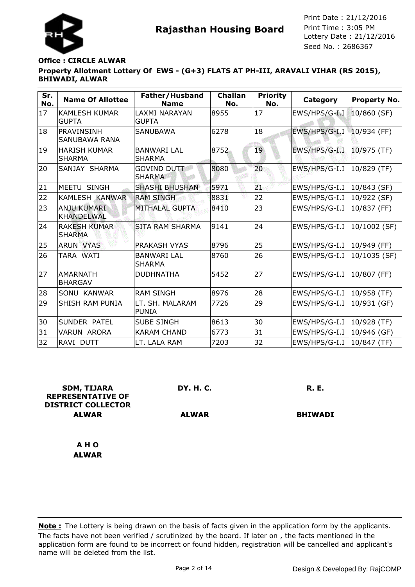

## **Property Allotment Lottery Of EWS - (G+3) FLATS AT PH-III, ARAVALI VIHAR (RS 2015), BHIWADI, ALWAR Office : CIRCLE ALWAR**

| Sr.<br>No. | <b>Name Of Allottee</b>                   | Father/Husband<br><b>Name</b>       | <b>Challan</b><br>No. | <b>Priority</b><br>No. | Category      | <b>Property No.</b> |
|------------|-------------------------------------------|-------------------------------------|-----------------------|------------------------|---------------|---------------------|
| 17         | <b>KAMLESH KUMAR</b><br><b>GUPTA</b>      | LAXMI NARAYAN<br><b>GUPTA</b>       | 8955                  | 17                     | EWS/HPS/G-I.I | $10/860$ (SF)       |
| 18         | <b>PRAVINSINH</b><br><b>SANUBAWA RANA</b> | <b>SANUBAWA</b>                     | 6278                  | 18                     | EWS/HPS/G-I.I | $10/934$ (FF)       |
| 19         | <b>HARISH KUMAR</b><br><b>SHARMA</b>      | <b>BANWARI LAL</b><br><b>SHARMA</b> | 8752                  | 19                     | EWS/HPS/G-I.I | 10/975 (TF)         |
| 20         | SANJAY SHARMA                             | <b>GOVIND DUTT</b><br><b>SHARMA</b> | 8080                  | 20                     | EWS/HPS/G-I.I | 10/829 (TF)         |
| 21         | MEETU SINGH                               | <b>SHASHI BHUSHAN</b>               | 5971                  | 21                     | EWS/HPS/G-I.I | 10/843 (SF)         |
| 22         | KAMLESH KANWAR                            | <b>RAM SINGH</b>                    | 8831                  | 22                     | EWS/HPS/G-I.I | 10/922 (SF)         |
| 23         | <b>ANJU KUMARI</b><br><b>KHANDELWAL</b>   | <b>MITHALAL GUPTA</b>               | 8410                  | 23                     | EWS/HPS/G-I.I | 10/837 (FF)         |
| 24         | <b>RAKESH KUMAR</b><br><b>SHARMA</b>      | <b>SITA RAM SHARMA</b>              | 9141                  | 24                     | EWS/HPS/G-I.I | 10/1002 (SF)        |
| 25         | <b>ARUN VYAS</b>                          | PRAKASH VYAS                        | 8796                  | 25                     | EWS/HPS/G-I.I | 10/949 (FF)         |
| 26         | TARA WATI                                 | <b>BANWARI LAL</b><br><b>SHARMA</b> | 8760                  | 26                     | EWS/HPS/G-I.I | 10/1035 (SF)        |
| 27         | <b>AMARNATH</b><br><b>BHARGAV</b>         | <b>DUDHNATHA</b>                    | 5452                  | 27                     | EWS/HPS/G-I.I | 10/807 (FF)         |
| 28         | SONU KANWAR                               | <b>RAM SINGH</b>                    | 8976                  | 28                     | EWS/HPS/G-I.I | 10/958 (TF)         |
| 29         | <b>SHISH RAM PUNIA</b>                    | LT. SH. MALARAM<br><b>PUNIA</b>     | 7726                  | 29                     | EWS/HPS/G-I.I | 10/931 (GF)         |
| 30         | SUNDER PATEL                              | <b>SUBE SINGH</b>                   | 8613                  | 30                     | EWS/HPS/G-I.I | 10/928 (TF)         |
| 31         | <b>VARUN ARORA</b>                        | <b>KARAM CHAND</b>                  | 6773                  | 31                     | EWS/HPS/G-I.I | 10/946 (GF)         |
| 32         | RAVI DUTT                                 | LT. LALA RAM                        | 7203                  | 32                     | EWS/HPS/G-I.I | 10/847 (TF)         |

| <b>SDM, TIJARA</b><br><b>REPRESENTATIVE OF</b> | DY. H. C.    | <b>R. E.</b>   |
|------------------------------------------------|--------------|----------------|
| <b>DISTRICT COLLECTOR</b>                      |              |                |
| <b>ALWAR</b>                                   | <b>ALWAR</b> | <b>BHIWADI</b> |
| A H O                                          |              |                |
| <b>ALWAR</b>                                   |              |                |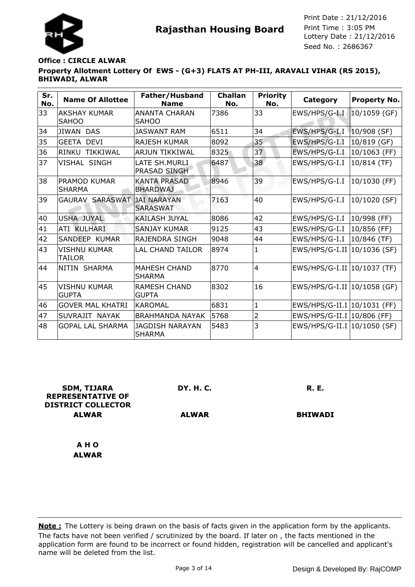

## **Property Allotment Lottery Of EWS - (G+3) FLATS AT PH-III, ARAVALI VIHAR (RS 2015), BHIWADI, ALWAR Office : CIRCLE ALWAR**

| Sr.<br>No. | <b>Name Of Allottee</b>              | Father/Husband<br><b>Name</b>           | <b>Challan</b><br>No. | <b>Priority</b><br>No. | Category                      | <b>Property No.</b> |
|------------|--------------------------------------|-----------------------------------------|-----------------------|------------------------|-------------------------------|---------------------|
| 33         | AKSHAY KUMAR<br><b>SAHOO</b>         | <b>ANANTA CHARAN</b><br><b>SAHOO</b>    | 7386                  | 33                     | EWS/HPS/G-I I                 | $10/1059$ (GF)      |
| 34         | <b>JIWAN DAS</b>                     | <b>JASWANT RAM</b>                      | 6511                  | 34                     | EWS/HPS/G-I.I                 | 10/908 (SF)         |
| 35         | <b>GEETA DEVI</b>                    | <b>RAJESH KUMAR</b>                     | 8092                  | 35                     | EWS/HPS/G-I.I                 | 10/819 (GF)         |
| 36         | <b>RINKU</b><br>TIKKIWAL             | <b>ARJUN TIKKIWAL</b>                   | 8325                  | 37                     | EWS/HPS/G-I.I                 | 10/1063 (FF)        |
| 37         | <b>VISHAL SINGH</b>                  | LATE SH. MURLI<br>PRASAD SINGH          | 6487                  | 38                     | EWS/HPS/G-I.I                 | 10/814 (TF)         |
| 38         | <b>PRAMOD KUMAR</b><br><b>SHARMA</b> | <b>KANTA PRASAD</b><br><b>BHARDWAJ</b>  | 8946                  | 39                     | EWS/HPS/G-I.I                 | 10/1030 (FF)        |
| 39         | GAURAV SARASWAT                      | <b>JAI NARAYAN</b><br><b>SARASWAT</b>   | 7163                  | 40                     | EWS/HPS/G-I.I                 | 10/1020 (SF)        |
| 40         | <b>USHA JUYAL</b>                    | <b>KAILASH JUYAL</b>                    | 8086                  | 42                     | EWS/HPS/G-I.I                 | 10/998 (FF)         |
| 41         | ATI KULHARI                          | <b>SANJAY KUMAR</b>                     | 9125                  | 43                     | EWS/HPS/G-I.I                 | 10/856 (FF)         |
| 42         | SANDEEP KUMAR                        | RAJENDRA SINGH                          | 9048                  | 44                     | EWS/HPS/G-I.I                 | 10/846 (TF)         |
| 43         | <b>VISHNU KUMAR</b><br><b>TAILOR</b> | <b>LAL CHAND TAILOR</b>                 | 8974                  | 1                      | EWS/HPS/G-I.II   10/1036 (SF) |                     |
| 44         | NITIN SHARMA                         | <b>MAHESH CHAND</b><br><b>SHARMA</b>    | 8770                  | $\overline{4}$         | EWS/HPS/G-I.II   10/1037 (TF) |                     |
| 45         | <b>VISHNU KUMAR</b><br><b>GUPTA</b>  | <b>RAMESH CHAND</b><br><b>GUPTA</b>     | 8302                  | 16                     | EWS/HPS/G-I.II 10/1058 (GF)   |                     |
| 46         | <b>GOVER MAL KHATRI</b>              | <b>KAROMAL</b>                          | 6831                  | $\mathbf{1}$           | EWS/HPS/G-II.I   10/1031 (FF) |                     |
| 47         | SUVRAJIT NAYAK                       | <b>BRAHMANDA NAYAK</b>                  | 5768                  | 2                      | EWS/HPS/G-II.I 10/806 (FF)    |                     |
| 48         | <b>GOPAL LAL SHARMA</b>              | <b>JAGDISH NARAYAN</b><br><b>SHARMA</b> | 5483                  | 3                      | EWS/HPS/G-II.I 10/1050 (SF)   |                     |

| <b>SDM, TIJARA</b><br><b>REPRESENTATIVE OF</b><br><b>DISTRICT COLLECTOR</b> | <b>DY. H. C.</b> | <b>R. E.</b>   |
|-----------------------------------------------------------------------------|------------------|----------------|
| <b>ALWAR</b>                                                                | <b>ALWAR</b>     | <b>BHIWADI</b> |
| A H O                                                                       |                  |                |
| <b>ALWAR</b>                                                                |                  |                |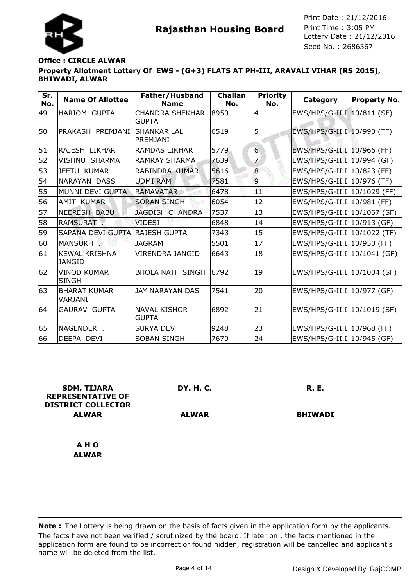

## **Property Allotment Lottery Of EWS - (G+3) FLATS AT PH-III, ARAVALI VIHAR (RS 2015), BHIWADI, ALWAR Office : CIRCLE ALWAR**

| Sr.<br>No. | <b>Name Of Allottee</b>               | Father/Husband<br><b>Name</b>          | <b>Challan</b><br>No. | <b>Priority</b><br>No. | Category                      | <b>Property No.</b> |
|------------|---------------------------------------|----------------------------------------|-----------------------|------------------------|-------------------------------|---------------------|
| 49         | <b>HARIOM GUPTA</b>                   | <b>CHANDRA SHEKHAR</b><br><b>GUPTA</b> | 8950                  | $\overline{4}$         | EWS/HPS/G-II.I 10/811 (SF)    |                     |
| 50         | PRAKASH PREMJANI                      | <b>SHANKAR LAL</b><br><b>PREMJANI</b>  | 6519                  | 5                      | EWS/HPS/G-II.I 10/990 (TF)    |                     |
| 51         | RAJESH LIKHAR                         | RAMDAS LIKHAR                          | 5779                  | $\overline{6}$         | EWS/HPS/G-II.I   10/966 (FF)  |                     |
| 52         | <b>VISHNU SHARMA</b>                  | <b>RAMRAY SHARMA</b>                   | 7639                  | $\overline{z}$         | EWS/HPS/G-II.I   10/994 (GF)  |                     |
| 53         | JEETU KUMAR                           | <b>RABINDRA KUMAR</b>                  | 5616                  | $\overline{8}$         | EWS/HPS/G-II.I   10/823 (FF)  |                     |
| 54         | <b>NARAYAN DASS</b>                   | <b>UDMI RAM</b>                        | 7581                  | 9                      | EWS/HPS/G-II.I   10/976 (TF)  |                     |
| 55         | MUNNI DEVI GUPTA                      | <b>RAMAVATAR</b>                       | 6478                  | ΪŤ                     | EWS/HPS/G-II.I 10/1029 (FF)   |                     |
| 56         | <b>AMIT KUMAR</b>                     | <b>SORAN SINGH</b>                     | 6054                  | 12                     | EWS/HPS/G-II.I 10/981 (FF)    |                     |
| 57         | <b>NEERESH BABU</b>                   | <b>JAGDISH CHANDRA</b>                 | 7537                  | 13                     | EWS/HPS/G-II.I 10/1067 (SF)   |                     |
| 58         | <b>RAMSURAT.</b>                      | <b>VIDESI</b>                          | 6848                  | 14                     | EWS/HPS/G-II.I   10/913 (GF)  |                     |
| 59         | <b>SAPANA DEVI GUPTA</b>              | <b>RAJESH GUPTA</b>                    | 7343                  | 15                     | EWS/HPS/G-II.I 10/1022 (TF)   |                     |
| 60         | MANSUKH.                              | <b>JAGRAM</b>                          | 5501                  | 17                     | EWS/HPS/G-II.I 10/950 (FF)    |                     |
| 61         | <b>KEWAL KRISHNA</b><br><b>JANGID</b> | <b>VIRENDRA JANGID</b>                 | 6643                  | 18                     | EWS/HPS/G-II.I   10/1041 (GF) |                     |
| 62         | <b>VINOD KUMAR</b><br><b>SINGH</b>    | <b>BHOLA NATH SINGH</b>                | 6792                  | 19                     | EWS/HPS/G-II.I   10/1004 (SF) |                     |
| 63         | <b>BHARAT KUMAR</b><br>VARJANI        | <b>JAY NARAYAN DAS</b>                 | 7541                  | 20                     | EWS/HPS/G-II.I   10/977 (GF)  |                     |
| 64         | <b>GAURAV GUPTA</b>                   | <b>NAVAL KISHOR</b><br><b>GUPTA</b>    | 6892                  | 21                     | EWS/HPS/G-II.I   10/1019 (SF) |                     |
| 65         | NAGENDER .                            | <b>SURYA DEV</b>                       | 9248                  | 23                     | EWS/HPS/G-II.I   10/968 (FF)  |                     |
| 66         | DEEPA DEVI                            | <b>SOBAN SINGH</b>                     | 7670                  | 24                     | EWS/HPS/G-II.I   10/945 (GF)  |                     |

| <b>SDM, TIJARA</b><br><b>REPRESENTATIVE OF</b><br><b>DISTRICT COLLECTOR</b> | <b>DY. H. C.</b> | <b>R. E.</b>   |
|-----------------------------------------------------------------------------|------------------|----------------|
| <b>ALWAR</b>                                                                | <b>ALWAR</b>     | <b>BHIWADI</b> |
| A H O                                                                       |                  |                |
| <b>ALWAR</b>                                                                |                  |                |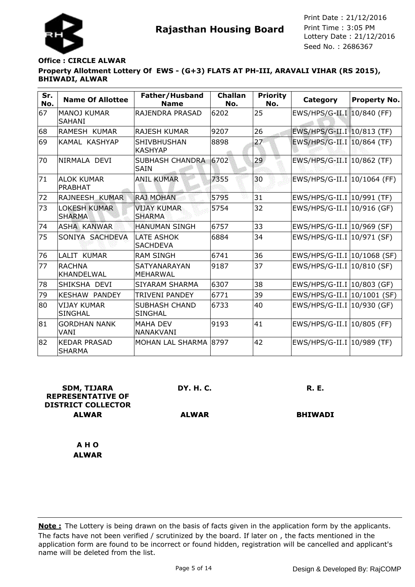

# **Property Allotment Lottery Of EWS - (G+3) FLATS AT PH-III, ARAVALI VIHAR (RS 2015), BHIWADI, ALWAR Office : CIRCLE ALWAR**

| Sr.<br>No. | <b>Name Of Allottee</b>              | Father/Husband<br><b>Name</b>          | <b>Challan</b><br>No. | <b>Priority</b><br>No. | Category                      | <b>Property No.</b> |
|------------|--------------------------------------|----------------------------------------|-----------------------|------------------------|-------------------------------|---------------------|
| 67         | MANOJ KUMAR<br><b>SAHANI</b>         | RAJENDRA PRASAD                        | 6202                  | 25                     | EWS/HPS/G-II.I 10/840 (FF)    |                     |
| 68         | RAMESH KUMAR                         | <b>RAJESH KUMAR</b>                    | 9207                  | 26                     | EWS/HPS/G-II.I 10/813 (TF)    |                     |
| 69         | KAMAL KASHYAP                        | <b>SHIVBHUSHAN</b><br><b>KASHYAP</b>   | 8898                  | 27                     | EWS/HPS/G-II.I   10/864 (TF)  |                     |
| 70         | INIRMALA DEVI                        | SUBHASH CHANDRA 6702<br>SAIN           |                       | 29                     | EWS/HPS/G-II.I 10/862 (TF)    |                     |
| 71         | <b>ALOK KUMAR</b><br><b>PRABHAT</b>  | <b>ANIL KUMAR</b>                      | 7355                  | 30                     | EWS/HPS/G-II.I   10/1064 (FF) |                     |
| 72         | RAJNEESH KUMAR                       | <b>RAJ MOHAN</b>                       | 5795                  | 31                     | EWS/HPS/G-II.I   10/991 (TF)  |                     |
| 73         | <b>LOKESH KUMAR</b><br><b>SHARMA</b> | <b>VIJAY KUMAR</b><br><b>SHARMA</b>    | 5754                  | 32                     | EWS/HPS/G-II.I   10/916 (GF)  |                     |
| 74         | <b>ASHA KANWAR</b>                   | <b>HANUMAN SINGH</b>                   | 6757                  | 33                     | EWS/HPS/G-II.I   10/969 (SF)  |                     |
| 75         | SONIYA SACHDEVA                      | LATE ASHOK<br><b>SACHDEVA</b>          | 6884                  | 34                     | EWS/HPS/G-II.I   10/971 (SF)  |                     |
| 76         | LALIT KUMAR                          | <b>RAM SINGH</b>                       | 6741                  | 36                     | EWS/HPS/G-II.I 10/1068 (SF)   |                     |
| 77         | IRACHNA<br><b>KHANDELWAL</b>         | SATYANARAYAN<br>MEHARWAL               | 9187                  | 37                     | EWS/HPS/G-II.I   10/810 (SF)  |                     |
| 78         | SHIKSHA DEVI                         | SIYARAM SHARMA                         | 6307                  | 38                     | EWS/HPS/G-II.I   10/803 (GF)  |                     |
| 79         | <b>KESHAW PANDEY</b>                 | <b>TRIVENI PANDEY</b>                  | 6771                  | 39                     | EWS/HPS/G-II.I 10/1001 (SF)   |                     |
| 80         | <b>VIJAY KUMAR</b><br><b>SINGHAL</b> | <b>SUBHASH CHAND</b><br><b>SINGHAL</b> | 6733                  | 40                     | EWS/HPS/G-II.I 10/930 (GF)    |                     |
| 81         | <b>GORDHAN NANK</b><br>VANI          | <b>MAHA DEV</b><br><b>NANAKVANI</b>    | 9193                  | 41                     | EWS/HPS/G-II.I   10/805 (FF)  |                     |
| 82         | <b>KEDAR PRASAD</b><br><b>SHARMA</b> | MOHAN LAL SHARMA 8797                  |                       | 42                     | EWS/HPS/G-II.I   10/989 (TF)  |                     |

| <b>SDM, TIJARA</b><br><b>REPRESENTATIVE OF</b><br><b>DISTRICT COLLECTOR</b> | DY. H. C.    | <b>R. E.</b>   |
|-----------------------------------------------------------------------------|--------------|----------------|
| <b>ALWAR</b>                                                                | <b>ALWAR</b> | <b>BHIWADI</b> |
| A H O                                                                       |              |                |
| <b>ALWAR</b>                                                                |              |                |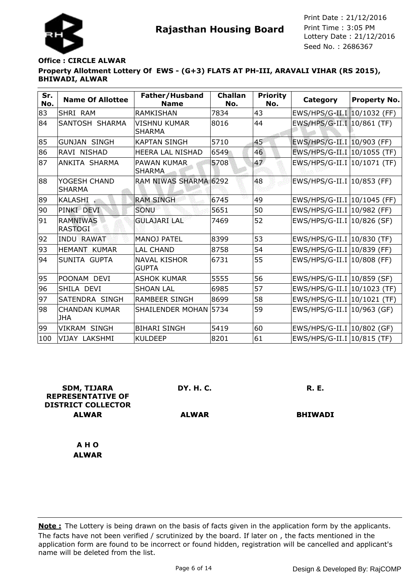

## **Property Allotment Lottery Of EWS - (G+3) FLATS AT PH-III, ARAVALI VIHAR (RS 2015), BHIWADI, ALWAR Office : CIRCLE ALWAR**

| Sr.<br>No. | <b>Name Of Allottee</b>            | Father/Husband<br><b>Name</b>        | <b>Challan</b><br>No. | <b>Priority</b><br>No. | Category                      | <b>Property No.</b> |
|------------|------------------------------------|--------------------------------------|-----------------------|------------------------|-------------------------------|---------------------|
| 83         | SHRI RAM                           | <b>RAMKISHAN</b>                     | 7834                  | 43                     | EWS/HPS/G-II.I 10/1032 (FF)   |                     |
| 84         | SANTOSH SHARMA                     | <b>VISHNU KUMAR</b><br><b>SHARMA</b> | 8016                  | 44                     | EWS/HPS/G-II.I 10/861 (TF)    |                     |
| 85         | <b>GUNJAN SINGH</b>                | <b>KAPTAN SINGH</b>                  | 5710                  | 45                     | EWS/HPS/G-II.I   10/903 (FF)  |                     |
| 86         | RAVI NISHAD                        | <b>HEERA LAL NISHAD</b>              | 6549                  | 46                     | EWS/HPS/G-II.I 10/1055 (TF)   |                     |
| 87         | ANKITA SHARMA                      | <b>PAWAN KUMAR</b><br><b>SHARMA</b>  | 5708                  | 47                     | EWS/HPS/G-II.I 10/1071 (TF)   |                     |
| 88         | YOGESH CHAND<br><b>SHARMA</b>      | RAM NIWAS SHARMA 6292                |                       | 48                     | EWS/HPS/G-II.I 10/853 (FF)    |                     |
| 89         | KALASHI                            | <b>RAM SINGH</b>                     | 6745                  | 49                     | EWS/HPS/G-II.I 10/1045 (FF)   |                     |
| 90         | PINKI DEVI                         | SONU                                 | 5651                  | 50                     | EWS/HPS/G-II.I   10/982 (FF)  |                     |
| 91         | <b>RAMNIWAS</b><br><b>RASTOGI</b>  | <b>GULAJARI LAL</b>                  | 7469                  | 52                     | EWS/HPS/G-II.I   10/826 (SF)  |                     |
| 92         | <b>INDU RAWAT</b>                  | <b>MANOJ PATEL</b>                   | 8399                  | 53                     | EWS/HPS/G-II.I   10/830 (TF)  |                     |
| 93         | <b>HEMANT KUMAR</b>                | <b>LAL CHAND</b>                     | 8758                  | 54                     | EWS/HPS/G-II.I 10/839 (FF)    |                     |
| 94         | SUNITA GUPTA                       | <b>NAVAL KISHOR</b><br><b>GUPTA</b>  | 6731                  | 55                     | EWS/HPS/G-II.I 10/808 (FF)    |                     |
| 95         | POONAM DEVI                        | <b>ASHOK KUMAR</b>                   | 5555                  | 56                     | EWS/HPS/G-II.I   10/859 (SF)  |                     |
| 96         | SHILA DEVI                         | <b>SHOAN LAL</b>                     | 6985                  | 57                     | EWS/HPS/G-II.I   10/1023 (TF) |                     |
| 97         | SATENDRA SINGH                     | <b>RAMBEER SINGH</b>                 | 8699                  | 58                     | EWS/HPS/G-II.I 10/1021 (TF)   |                     |
| 98         | <b>CHANDAN KUMAR</b><br><b>JHA</b> | SHAILENDER MOHAN 5734                |                       | 59                     | EWS/HPS/G-II.I   10/963 (GF)  |                     |
| 99         | <b>VIKRAM SINGH</b>                | <b>BIHARI SINGH</b>                  | 5419                  | 60                     | EWS/HPS/G-II.I   10/802 (GF)  |                     |
| 100        | VIJAY LAKSHMI                      | <b>KULDEEP</b>                       | 8201                  | 61                     | EWS/HPS/G-II.I   10/815 (TF)  |                     |

| <b>SDM, TIJARA</b><br><b>REPRESENTATIVE OF</b><br><b>DISTRICT COLLECTOR</b> | <b>DY. H. C.</b> | <b>R. E.</b>   |
|-----------------------------------------------------------------------------|------------------|----------------|
|                                                                             |                  |                |
| <b>ALWAR</b>                                                                | <b>ALWAR</b>     | <b>BHIWADI</b> |
| A H O                                                                       |                  |                |
| <b>ALWAR</b>                                                                |                  |                |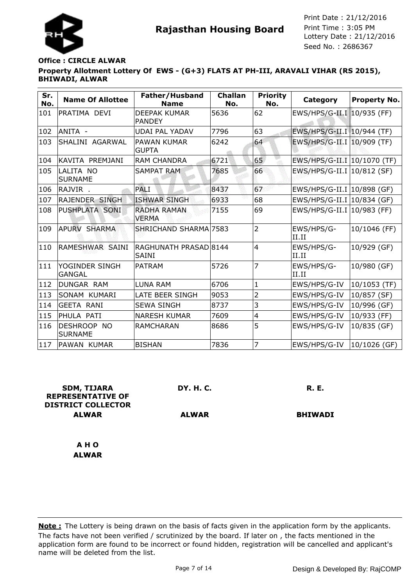

## **Property Allotment Lottery Of EWS - (G+3) FLATS AT PH-III, ARAVALI VIHAR (RS 2015), BHIWADI, ALWAR Office : CIRCLE ALWAR**

| Sr.<br>No. | <b>Name Of Allottee</b>         | Father/Husband<br><b>Name</b>         | <b>Challan</b><br>No. | <b>Priority</b><br>No. | Category                     | <b>Property No.</b> |
|------------|---------------------------------|---------------------------------------|-----------------------|------------------------|------------------------------|---------------------|
| 101        | PRATIMA DEVI                    | <b>DEEPAK KUMAR</b><br><b>PANDEY</b>  | 5636                  | 62                     | EWS/HPS/G-II.I 10/935 (FF)   |                     |
| 102        | ANITA -                         | <b>UDAI PAL YADAV</b>                 | 7796                  | 63                     | EWS/HPS/G-II.I   10/944 (TF) |                     |
| 103        | SHALINI AGARWAL                 | <b>PAWAN KUMAR</b><br><b>GUPTA</b>    | 6242                  | 64                     | EWS/HPS/G-II.I 10/909 (TF)   |                     |
| 104        | İKAVITA PREMJANI                | <b>RAM CHANDRA</b>                    | 6721                  | 65                     | EWS/HPS/G-II.I 10/1070 (TF)  |                     |
| 105        | LALITA NO<br><b>SURNAME</b>     | <b>SAMPAT RAM</b>                     | 7685                  | 66                     | EWS/HPS/G-II.I   10/812 (SF) |                     |
| 106        | RAJVIR.                         | PALI                                  | 8437                  | 67                     | EWS/HPS/G-II.I   10/898 (GF) |                     |
| 107        | <b>RAJENDER SINGH</b>           | <b>ISHWAR SINGH</b>                   | 6933                  | 68                     | EWS/HPS/G-II.I   10/834 (GF) |                     |
| 108        | PUSHPLATA SONI                  | <b>RADHA RAMAN</b><br><b>VERMA</b>    | 7155                  | 69                     | EWS/HPS/G-II.I   10/983 (FF) |                     |
| 109        | <b>APURV SHARMA</b>             | SHRICHAND SHARMA 7583                 |                       | $\overline{2}$         | EWS/HPS/G-<br>II.II          | 10/1046 (FF)        |
| 110        | RAMESHWAR SAINI                 | RAGHUNATH PRASAD 8144<br><b>SAINI</b> |                       | $\overline{4}$         | EWS/HPS/G-<br>II.II          | 10/929 (GF)         |
| 111        | YOGINDER SINGH<br><b>GANGAL</b> | <b>PATRAM</b>                         | 5726                  | 7                      | EWS/HPS/G-<br>II.II          | 10/980 (GF)         |
| 112        | DUNGAR RAM                      | <b>LUNA RAM</b>                       | 6706                  | $\mathbf{1}$           | EWS/HPS/G-IV                 | 10/1053 (TF)        |
| 113        | SONAM KUMARI                    | LATE BEER SINGH                       | 9053                  | 2                      | EWS/HPS/G-IV                 | 10/857 (SF)         |
| 114        | <b>GEETA RANI</b>               | <b>SEWA SINGH</b>                     | 8737                  | 3                      | EWS/HPS/G-IV                 | 10/996 (GF)         |
| 115        | PHULA PATI                      | <b>NARESH KUMAR</b>                   | 7609                  | 4                      | EWS/HPS/G-IV                 | 10/933 (FF)         |
| 116        | DESHROOP NO<br><b>SURNAME</b>   | <b>RAMCHARAN</b>                      | 8686                  | 5                      | EWS/HPS/G-IV                 | 10/835 (GF)         |
| 117        | PAWAN KUMAR                     | <b>BISHAN</b>                         | 7836                  | 7                      | EWS/HPS/G-IV                 | $10/1026$ (GF)      |

| <b>SDM, TIJARA</b><br><b>REPRESENTATIVE OF</b><br><b>DISTRICT COLLECTOR</b> | DY. H. C.    | <b>R. E.</b>   |
|-----------------------------------------------------------------------------|--------------|----------------|
| <b>ALWAR</b>                                                                | <b>ALWAR</b> | <b>BHIWADI</b> |
| A H O                                                                       |              |                |
| <b>ALWAR</b>                                                                |              |                |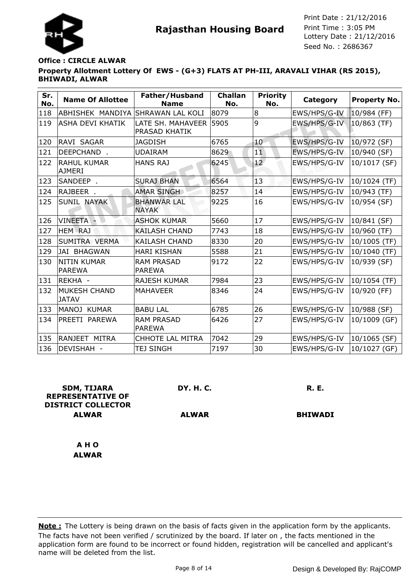

# **Property Allotment Lottery Of EWS - (G+3) FLATS AT PH-III, ARAVALI VIHAR (RS 2015), BHIWADI, ALWAR Office : CIRCLE ALWAR**

| Sr.<br>No. | <b>Name Of Allottee</b>             | Father/Husband<br><b>Name</b>      | <b>Challan</b><br>No. | <b>Priority</b><br>No. | <b>Category</b> | <b>Property No.</b> |
|------------|-------------------------------------|------------------------------------|-----------------------|------------------------|-----------------|---------------------|
| 118        | ABHISHEK MANDIYA                    | <b>SHRAWAN LAL KOLI</b>            | 8079                  | 8                      | EWS/HPS/G-IV    | $10/984$ (FF)       |
| 119        | <b>ASHA DEVI KHATIK</b>             | LATE SH. MAHAVEER<br>PRASAD KHATIK | 5905                  | 9                      | EWS/HPS/G-IV    | $10/863$ (TF)       |
| 120        | RAVI SAGAR                          | <b>JAGDISH</b>                     | 6765                  | 40                     | EWS/HPS/G-IV    | 10/972 (SF)         |
| 121        | DEEPCHAND.                          | <b>UDAIRAM</b>                     | 8629                  | 11                     | EWS/HPS/G-IV    | 10/940 (SF)         |
| 122        | <b>RAHUL KUMAR</b><br><b>AJMERI</b> | <b>HANS RAJ</b>                    | 6245                  | 12 <sup>°</sup>        | EWS/HPS/G-IV    | 10/1017 (SF)        |
| 123        | SANDEEP.                            | <b>SURAJ BHAN</b>                  | 6564                  | $\overline{1}3$        | EWS/HPS/G-IV    | 10/1024 (TF)        |
| 124        | RAJBEER .                           | <b>AMAR SINGH</b>                  | 8257                  | 14                     | EWS/HPS/G-IV    | 10/943 (TF)         |
| 125        | <b>SUNIL NAYAK</b>                  | <b>BHANWAR LAL</b><br><b>NAYAK</b> | 9225                  | 16                     | EWS/HPS/G-IV    | 10/954 (SF)         |
| 126        | VINEETA -                           | <b>ASHOK KUMAR</b>                 | 5660                  | 17                     | EWS/HPS/G-IV    | 10/841 (SF)         |
| 127        | <b>HEM</b> RAJ                      | <b>KAILASH CHAND</b>               | 7743                  | 18                     | EWS/HPS/G-IV    | 10/960 (TF)         |
| 128        | SUMITRA VERMA                       | <b>KAILASH CHAND</b>               | 8330                  | 20                     | EWS/HPS/G-IV    | 10/1005 (TF)        |
| 129        | <b>JAI BHAGWAN</b>                  | <b>HARI KISHAN</b>                 | 5588                  | 21                     | EWS/HPS/G-IV    | 10/1040 (TF)        |
| 130        | <b>NITIN KUMAR</b><br><b>PAREWA</b> | <b>RAM PRASAD</b><br><b>PAREWA</b> | 9172                  | 22                     | EWS/HPS/G-IV    | 10/939 (SF)         |
| 131        | REKHA -                             | <b>RAJESH KUMAR</b>                | 7984                  | 23                     | EWS/HPS/G-IV    | 10/1054 (TF)        |
| 132        | MUKESH CHAND<br><b>JATAV</b>        | <b>MAHAVEER</b>                    | 8346                  | 24                     | EWS/HPS/G-IV    | 10/920 (FF)         |
| 133        | MANOJ KUMAR                         | <b>BABU LAL</b>                    | 6785                  | 26                     | EWS/HPS/G-IV    | 10/988 (SF)         |
| 134        | PREETI PAREWA                       | <b>RAM PRASAD</b><br><b>PAREWA</b> | 6426                  | 27                     | EWS/HPS/G-IV    | 10/1009 (GF)        |
| 135        | RANJEET MITRA                       | <b>CHHOTE LAL MITRA</b>            | 7042                  | 29                     | EWS/HPS/G-IV    | 10/1065 (SF)        |
| 136        | DEVISHAH -                          | <b>TEJ SINGH</b>                   | 7197                  | 30                     | EWS/HPS/G-IV    | 10/1027 (GF)        |

| <b>SDM, TIJARA</b><br><b>REPRESENTATIVE OF</b><br><b>DISTRICT COLLECTOR</b> | DY. H. C.    | <b>R. E.</b>   |
|-----------------------------------------------------------------------------|--------------|----------------|
| <b>ALWAR</b>                                                                | <b>ALWAR</b> | <b>BHIWADI</b> |
|                                                                             |              |                |
| A H O                                                                       |              |                |
| <b>ALWAR</b>                                                                |              |                |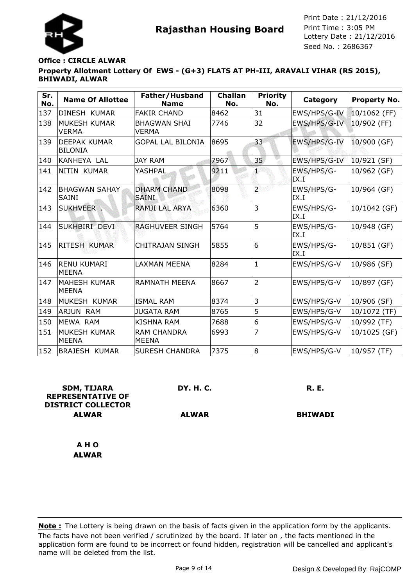

## **Property Allotment Lottery Of EWS - (G+3) FLATS AT PH-III, ARAVALI VIHAR (RS 2015), BHIWADI, ALWAR Office : CIRCLE ALWAR**

| Sr.<br>No. | <b>Name Of Allottee</b>               | Father/Husband<br><b>Name</b>       | <b>Challan</b><br>No. | <b>Priority</b><br>No. | Category            | <b>Property No.</b> |
|------------|---------------------------------------|-------------------------------------|-----------------------|------------------------|---------------------|---------------------|
| 137        | DINESH KUMAR                          | <b>FAKIR CHAND</b>                  | 8462                  | 31                     | EWS/HPS/G-IV        | $10/1062$ (FF)      |
| 138        | <b>MUKESH KUMAR</b><br><b>VERMA</b>   | <b>BHAGWAN SHAI</b><br><b>VERMA</b> | 7746                  | 32                     | EWS/HPS/G-IV        | 10/902 (FF)         |
| 139        | <b>DEEPAK KUMAR</b><br><b>BILONIA</b> | <b>GOPAL LAL BILONIA</b>            | 8695                  | 33                     | EWS/HPS/G-IV        | 10/900 (GF)         |
| 140        | KANHEYA LAL                           | <b>JAY RAM</b>                      | 7967                  | 35 <sub>1</sub>        | EWS/HPS/G-IV        | 10/921 (SF)         |
| 141        | NITIN KUMAR                           | <b>YASHPAL</b>                      | 9211                  | еØ                     | EWS/HPS/G-<br>IX.I  | 10/962 (GF)         |
| 142        | IBHAGWAN SAHAY<br><b>SAINI</b>        | <b>DHARM CHAND</b><br><b>SAINI</b>  | 8098                  | $\overline{2}$         | EWS/HPS/G-<br>IIX.I | 10/964 (GF)         |
| 143        | <b>SUKHVEER</b>                       | <b>RAMJI LAL ARYA</b>               | 6360                  | 3                      | EWS/HPS/G-<br>IX.I  | 10/1042 (GF)        |
| 144        | İSUKHBIRI DEVI                        | RAGHUVEER SINGH                     | 5764                  | 5                      | EWS/HPS/G-<br>IX.I  | 10/948 (GF)         |
| 145        | <b>RITESH KUMAR</b>                   | <b>CHITRAJAN SINGH</b>              | 5855                  | 6                      | EWS/HPS/G-<br>IX.I  | 10/851 (GF)         |
| 146        | <b>RENU KUMARI</b><br><b>MEENA</b>    | <b>LAXMAN MEENA</b>                 | 8284                  | $\mathbf{1}$           | EWS/HPS/G-V         | 10/986 (SF)         |
| 147        | <b>MAHESH KUMAR</b><br><b>MEENA</b>   | <b>RAMNATH MEENA</b>                | 8667                  | $\overline{2}$         | EWS/HPS/G-V         | 10/897 (GF)         |
| 148        | MUKESH KUMAR                          | <b>ISMAL RAM</b>                    | 8374                  | 3                      | EWS/HPS/G-V         | 10/906 (SF)         |
| 149        | <b>ARJUN RAM</b>                      | <b>JUGATA RAM</b>                   | 8765                  | 5                      | EWS/HPS/G-V         | 10/1072 (TF)        |
| 150        | MEWA RAM                              | <b>KISHNA RAM</b>                   | 7688                  | 6                      | EWS/HPS/G-V         | 10/992 (TF)         |
| 151        | MUKESH KUMAR<br><b>MEENA</b>          | <b>RAM CHANDRA</b><br><b>MEENA</b>  | 6993                  | 7                      | EWS/HPS/G-V         | 10/1025 (GF)        |
| 152        | <b>BRAJESH KUMAR</b>                  | <b>SURESH CHANDRA</b>               | 7375                  | 8                      | EWS/HPS/G-V         | 10/957 (TF)         |

| <b>SDM, TIJARA</b><br><b>REPRESENTATIVE OF</b> | <b>DY. H. C.</b> | <b>R. E.</b>   |
|------------------------------------------------|------------------|----------------|
| <b>DISTRICT COLLECTOR</b>                      |                  |                |
| <b>ALWAR</b>                                   | <b>ALWAR</b>     | <b>BHIWADI</b> |
|                                                |                  |                |
|                                                |                  |                |
| A H O                                          |                  |                |
| <b>ALWAR</b>                                   |                  |                |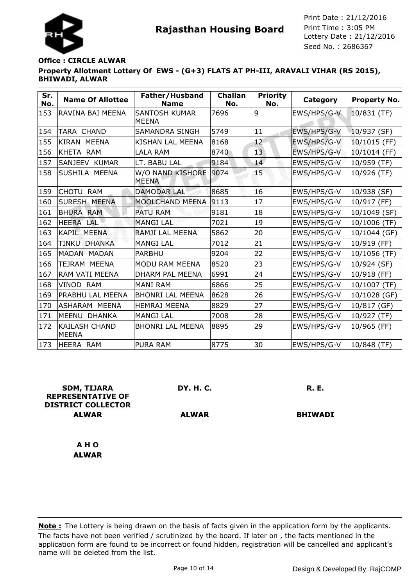

## **Property Allotment Lottery Of EWS - (G+3) FLATS AT PH-III, ARAVALI VIHAR (RS 2015), BHIWADI, ALWAR Office : CIRCLE ALWAR**

| Sr.<br>No. | <b>Name Of Allottee</b>              | Father/Husband<br><b>Name</b>        | <b>Challan</b><br>No. | <b>Priority</b><br>No. | Category    | <b>Property No.</b> |
|------------|--------------------------------------|--------------------------------------|-----------------------|------------------------|-------------|---------------------|
| 153        | RAVINA BAI MEENA                     | <b>SANTOSH KUMAR</b><br><b>MEENA</b> | 7696                  | 9                      | EWS/HPS/G-V | 10/831 (TF)         |
| 154        | TARA CHAND                           | SAMANDRA SINGH                       | 5749                  | 11                     | EWS/HPS/G-V | $10/937$ (SF)       |
| 155        | KIRAN MEENA                          | KISHAN LAL MEENA                     | 8168                  | 12 <sup>7</sup>        | EWS/HPS/G-V | 10/1015 (FF)        |
| 156        | KHETA RAM                            | <b>LALA RAM</b>                      | 8740                  | 13                     | EWS/HPS/G-V | 10/1014 (FF)        |
| 157        | SANJEEV KUMAR                        | LT. BABU LAL                         | 9184                  | 14                     | EWS/HPS/G-V | 10/959 (TF)         |
| 158        | SUSHILA MEENA                        | W/O NAND KISHORE<br><b>MEENA</b>     | 9074                  | Œ,                     | EWS/HPS/G-V | 10/926 (TF)         |
| 159        | CHOTU RAM                            | <b>DAMODAR LAL</b>                   | 8685                  | 16                     | EWS/HPS/G-V | 10/938 (SF)         |
| 160        | <b>SURESH MEENA</b>                  | MOOLCHAND MEENA                      | 9113                  | 17                     | EWS/HPS/G-V | 10/917 (FF)         |
| 161        | <b>BHURA RAM</b>                     | <b>PATU RAM</b>                      | 9181                  | 18                     | EWS/HPS/G-V | 10/1049 (SF)        |
| 162        | HEERA LAL                            | <b>MANGILAL</b>                      | 7021                  | 19                     | EWS/HPS/G-V | 10/1006 (TF)        |
| 163        | <b>KAPIL MEENA</b>                   | RAMJI LAL MEENA                      | 5862                  | 20                     | EWS/HPS/G-V | 10/1044 (GF)        |
| 164        | <b>TINKU</b><br><b>DHANKA</b>        | <b>MANGI LAL</b>                     | 7012                  | 21                     | EWS/HPS/G-V | 10/919 (FF)         |
| 165        | <b>MADAN MADAN</b>                   | <b>PARBHU</b>                        | 9204                  | 22                     | EWS/HPS/G-V | 10/1056 (TF)        |
| 166        | TEJRAM MEENA                         | MODU RAM MEENA                       | 8520                  | 23                     | EWS/HPS/G-V | 10/924 (SF)         |
| 167        | RAM VATI MEENA                       | DHARM PAL MEENA                      | 6991                  | 24                     | EWS/HPS/G-V | 10/918 (FF)         |
| 168        | VINOD RAM                            | <b>MANI RAM</b>                      | 6866                  | 25                     | EWS/HPS/G-V | $10/1007$ (TF)      |
| 169        | PRABHU LAL MEENA                     | <b>BHONRI LAL MEENA</b>              | 8628                  | 26                     | EWS/HPS/G-V | 10/1028 (GF)        |
| 170        | <b>ASHARAM MEENA</b>                 | <b>HEMRAJ MEENA</b>                  | 8829                  | 27                     | EWS/HPS/G-V | 10/817 (GF)         |
| 171        | MEENU DHANKA                         | <b>MANGI LAL</b>                     | 7008                  | 28                     | EWS/HPS/G-V | 10/927 (TF)         |
| 172        | <b>KAILASH CHAND</b><br><b>MEENA</b> | <b>BHONRI LAL MEENA</b>              | 8895                  | 29                     | EWS/HPS/G-V | 10/965 (FF)         |
| 173        | HEERA RAM                            | <b>PURA RAM</b>                      | 8775                  | 30                     | EWS/HPS/G-V | 10/848 (TF)         |

| <b>SDM, TIJARA</b><br><b>REPRESENTATIVE OF</b><br><b>DISTRICT COLLECTOR</b> | <b>DY. H. C.</b> | <b>R. E.</b>   |
|-----------------------------------------------------------------------------|------------------|----------------|
| <b>ALWAR</b>                                                                | <b>ALWAR</b>     | <b>BHIWADI</b> |
|                                                                             |                  |                |
| A H O                                                                       |                  |                |
| <b>ALWAR</b>                                                                |                  |                |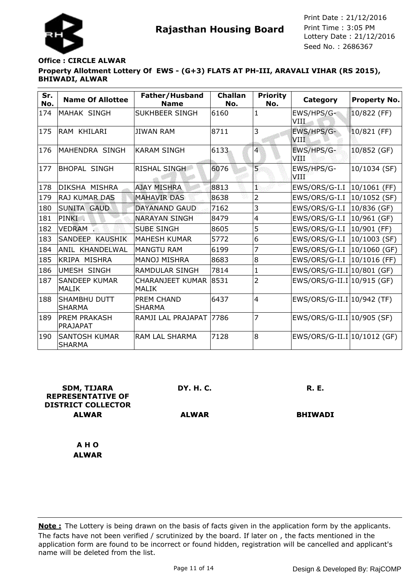

# **Property Allotment Lottery Of EWS - (G+3) FLATS AT PH-III, ARAVALI VIHAR (RS 2015), BHIWADI, ALWAR Office : CIRCLE ALWAR**

| Sr.<br>No. | <b>Name Of Allottee</b>               | Father/Husband<br><b>Name</b>         | <b>Challan</b><br>No. | <b>Priority</b><br>No. | Category                     | <b>Property No.</b> |
|------------|---------------------------------------|---------------------------------------|-----------------------|------------------------|------------------------------|---------------------|
| 174        | MAHAK SINGH                           | SUKHBEER SINGH                        | 6160                  | 1                      | EWS/HPS/G-<br>VIII           | 10/822 (FF)         |
| 175        | IRAM KHILARI                          | <b>JIWAN RAM</b>                      | 8711                  | 3                      | EWS/HPS/G-<br>VIII           | 10/821 (FF)         |
| 176        | MAHENDRA SINGH                        | KARAM SINGH                           | 6133                  | $\overline{4}$         | EWS/HPS/G-<br>VIII           | 10/852 (GF)         |
| 177        | BHOPAL SINGH                          | RISHAL SINGH                          | 6076                  | 5                      | EWS/HPS/G-<br>VIII           | 10/1034 (SF)        |
| 178        | DIKSHA MISHRA                         | <b>AJAY MISHRA</b>                    | 8813                  | Ŧ,                     | EWS/ORS/G-I.I   10/1061 (FF) |                     |
| 179        | <b>RAJ KUMAR DAS</b>                  | <b>MAHAVIR DAS</b>                    | 8638                  | $\overline{2}$         | EWS/ORS/G-I.I                | 10/1052 (SF)        |
| 180        | <b>SUNITA GAUD</b>                    | <b>DAYANAND GAUD</b>                  | 7162                  | 3                      | EWS/ORS/G-I.I                | 10/836 (GF)         |
| 181        | PINKI.                                | <b>NARAYAN SINGH</b>                  | 8479                  | $\overline{4}$         | EWS/ORS/G-I.I                | 10/961 (GF)         |
| 182        | VEDRAM                                | <b>SUBE SINGH</b>                     | 8605                  | 5                      | EWS/ORS/G-I.I                | 10/901 (FF)         |
| 183        | SANDEEP KAUSHIK                       | <b>MAHESH KUMAR</b>                   | 5772                  | 6                      | EWS/ORS/G-I.I                | 10/1003 (SF)        |
| 184        | ANIL KHANDELWAL                       | <b>MANGTU RAM</b>                     | 6199                  | 7                      | EWS/ORS/G-I.I   10/1060 (GF) |                     |
| 185        | KRIPA MISHRA                          | MANOJ MISHRA                          | 8683                  | 8                      | EWS/ORS/G-I.I   10/1016 (FF) |                     |
| 186        | <b>UMESH SINGH</b>                    | <b>RAMDULAR SINGH</b>                 | 7814                  | $\mathbf{1}$           | EWS/ORS/G-II.I 10/801 (GF)   |                     |
| 187        | <b>SANDEEP KUMAR</b><br><b>MALIK</b>  | CHARANJEET KUMAR 8531<br><b>MALIK</b> |                       | 2                      | EWS/ORS/G-II.I 10/915 (GF)   |                     |
| 188        | <b>SHAMBHU DUTT</b><br><b>SHARMA</b>  | <b>PREM CHAND</b><br><b>SHARMA</b>    | 6437                  | $\overline{4}$         | EWS/ORS/G-II.I 10/942 (TF)   |                     |
| 189        | <b>PREM PRAKASH</b><br>PRAJAPAT       | RAMJI LAL PRAJAPAT                    | 7786                  | 7                      | EWS/ORS/G-II.I 10/905 (SF)   |                     |
| 190        | <b>SANTOSH KUMAR</b><br><b>SHARMA</b> | <b>RAM LAL SHARMA</b>                 | 7128                  | 8                      | EWS/ORS/G-II.I 10/1012 (GF)  |                     |

| <b>SDM, TIJARA</b><br><b>REPRESENTATIVE OF</b><br><b>DISTRICT COLLECTOR</b> | DY. H. C.    | <b>R. E.</b>   |
|-----------------------------------------------------------------------------|--------------|----------------|
| <b>ALWAR</b>                                                                | <b>ALWAR</b> | <b>BHIWADI</b> |
|                                                                             |              |                |
| A H O                                                                       |              |                |
| <b>ALWAR</b>                                                                |              |                |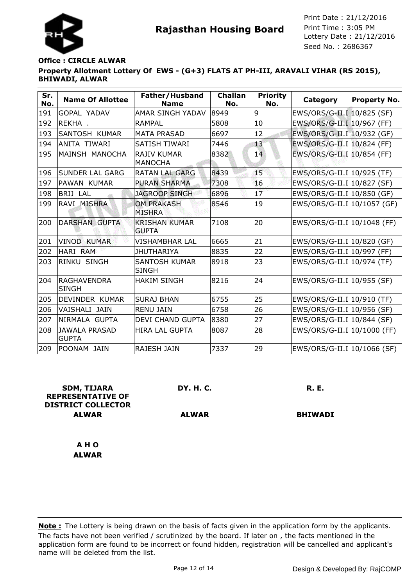

## **Property Allotment Lottery Of EWS - (G+3) FLATS AT PH-III, ARAVALI VIHAR (RS 2015), BHIWADI, ALWAR Office : CIRCLE ALWAR**

| Sr.<br>No. | <b>Name Of Allottee</b>              | Father/Husband<br><b>Name</b>        | <b>Challan</b><br>No. | <b>Priority</b><br>No. | Category                     | <b>Property No.</b> |
|------------|--------------------------------------|--------------------------------------|-----------------------|------------------------|------------------------------|---------------------|
| 191        | GOPAL YADAV                          | <b>AMAR SINGH YADAV</b>              | 8949                  | 9                      | EWS/ORS/G-II.I 10/825 (SF)   |                     |
| 192        | REKHA .                              | <b>RAMPAL</b>                        | 5808                  | 10                     | EWS/ORS/G-II.I 10/967 (FF)   |                     |
| 193        | SANTOSH KUMAR                        | <b>MATA PRASAD</b>                   | 6697                  | 12                     | EWS/ORS/G-II.I 10/932 (GF)   |                     |
| 194        | <b>ANITA TIWARI</b>                  | SATISH TIWARI                        | 7446                  | 13                     | EWS/ORS/G-II.I 10/824 (FF)   |                     |
| 195        | MAINSH MANOCHA                       | <b>RAJIV KUMAR</b><br><b>MANOCHA</b> | 8382                  | 14                     | EWS/ORS/G-II.I 10/854 (FF)   |                     |
| 196        | <b>SUNDER LAL GARG</b>               | <b>RATAN LAL GARG</b>                | 8439                  | Œ,                     | EWS/ORS/G-II.I 10/925 (TF)   |                     |
| 197        | PAWAN KUMAR                          | <b>PURAN SHARMA</b>                  | 7308                  | 16                     | EWS/ORS/G-II.I 10/827 (SF)   |                     |
| 198        | <b>BRIJ LAL</b>                      | <b>JAGROOP SINGH</b>                 | 6896                  | 17                     | EWS/ORS/G-II.I 10/850 (GF)   |                     |
| 199        | RAVI MISHRA                          | <b>OM PRAKASH</b><br><b>MISHRA</b>   | 8546                  | 19                     | EWS/ORS/G-II.I 10/1057 (GF)  |                     |
| 200        | <b>DARSHAN GUPTA</b>                 | <b>KRISHAN KUMAR</b><br><b>GUPTA</b> | 7108                  | 20                     | EWS/ORS/G-II.I 10/1048 (FF)  |                     |
| 201        | <b>VINOD KUMAR</b>                   | VISHAMBHAR LAL                       | 6665                  | 21                     | EWS/ORS/G-II.I 10/820 (GF)   |                     |
| 202        | HARI RAM                             | <b>JHUTHARIYA</b>                    | 8835                  | 22                     | $EWS/ORS/G-II.I 10/997$ (FF) |                     |
| 203        | RINKU SINGH                          | <b>SANTOSH KUMAR</b><br><b>SINGH</b> | 8918                  | 23                     | EWS/ORS/G-II.I   10/974 (TF) |                     |
| 204        | <b>RAGHAVENDRA</b><br><b>SINGH</b>   | <b>HAKIM SINGH</b>                   | 8216                  | 24                     | $EWS/ORS/G-II.I 10/955 (SF)$ |                     |
| 205        | DEVINDER KUMAR                       | <b>SURAJ BHAN</b>                    | 6755                  | 25                     | EWS/ORS/G-II.I 10/910 (TF)   |                     |
| 206        | VAISHALI JAIN                        | <b>RENU JAIN</b>                     | 6758                  | 26                     | EWS/ORS/G-II.I 10/956 (SF)   |                     |
| 207        | NIRMALA GUPTA                        | DEVI CHAND GUPTA                     | 8380                  | 27                     | EWS/ORS/G-II.I 10/844 (SF)   |                     |
| 208        | <b>JAWALA PRASAD</b><br><b>GUPTA</b> | <b>HIRA LAL GUPTA</b>                | 8087                  | 28                     | EWS/ORS/G-II.I 10/1000 (FF)  |                     |
| 209        | POONAM JAIN                          | RAJESH JAIN                          | 7337                  | 29                     | EWS/ORS/G-II.I 10/1066 (SF)  |                     |

| <b>SDM, TIJARA</b><br><b>REPRESENTATIVE OF</b><br><b>DISTRICT COLLECTOR</b> | DY. H. C.    | <b>R. E.</b>   |
|-----------------------------------------------------------------------------|--------------|----------------|
| <b>ALWAR</b>                                                                | <b>ALWAR</b> | <b>BHIWADI</b> |
| A H O                                                                       |              |                |
| <b>ALWAR</b>                                                                |              |                |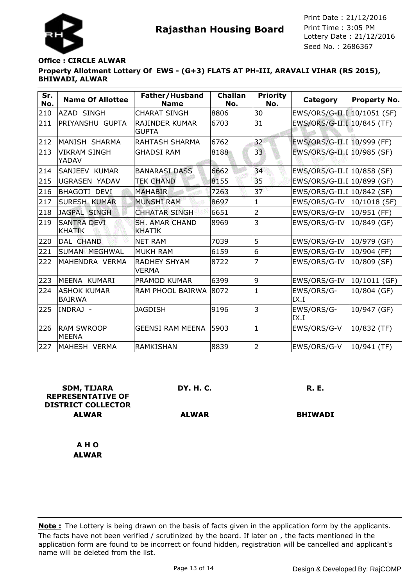

# **Property Allotment Lottery Of EWS - (G+3) FLATS AT PH-III, ARAVALI VIHAR (RS 2015), BHIWADI, ALWAR Office : CIRCLE ALWAR**

| Sr.<br>No. | <b>Name Of Allottee</b>             | Father/Husband<br><b>Name</b>          | <b>Challan</b><br>No. | <b>Priority</b><br>No. | Category                     | Property No.    |
|------------|-------------------------------------|----------------------------------------|-----------------------|------------------------|------------------------------|-----------------|
| 210        | <b>AZAD SINGH</b>                   | <b>CHARAT SINGH</b>                    | 8806                  | 30                     | EWS/ORS/G-II.I 10/1051 (SF)  |                 |
| 211        | PRIYANSHU GUPTA                     | RAJINDER KUMAR<br><b>GUPTA</b>         | 6703                  | 31                     | EWS/ORS/G-II.I 10/845 (TF)   |                 |
| 212        | MANISH SHARMA                       | <b>RAHTASH SHARMA</b>                  | 6762                  | 32                     | EWS/ORS/G-II.I 10/999 (FF)   |                 |
| 213        | <b>VIKRAM SINGH</b><br>YADAV        | <b>GHADSI RAM</b>                      | 8188                  | 33                     | EWS/ORS/G-II.I 10/985 (SF)   |                 |
| 214        | SANJEEV KUMAR                       | <b>BANARASI DASS</b>                   | 6662                  | 34                     | EWS/ORS/G-II.I 10/858 (SF)   |                 |
| 215        | <b>UGRASEN YADAV</b>                | <b>TEK CHAND</b>                       | 8155                  | 35                     | EWS/ORS/G-II.I 10/899 (GF)   |                 |
| 216        | <b>BHAGOTI DEVI</b>                 | <b>MAHABIR</b>                         | 7263                  | 37                     | $EWS/ORS/G-II.I 10/842$ (SF) |                 |
| 217        | <b>SURESH KUMAR</b>                 | <b>MUNSHI RAM</b>                      | 8697                  | $\mathbf{1}$           | EWS/ORS/G-IV                 | $ 10/1018$ (SF) |
| 218        | <b>JAGPAL SINGH</b>                 | <b>CHHATAR SINGH</b>                   | 6651                  | $\overline{2}$         | EWS/ORS/G-IV                 | $ 10/951$ (FF)  |
| 219        | <b>SANTRA DEVI</b><br><b>KHATIK</b> | <b>SH. AMAR CHAND</b><br><b>KHATIK</b> | 8969                  | 3                      | EWS/ORS/G-IV                 | $10/849$ (GF)   |
| 220        | DAL CHAND                           | <b>NET RAM</b>                         | 7039                  | 5                      | EWS/ORS/G-IV                 | 10/979 (GF)     |
| 221        | SUMAN MEGHWAL                       | <b>MUKH RAM</b>                        | 6159                  | 6                      | EWS/ORS/G-IV                 | 10/904 (FF)     |
| 222        | MAHENDRA VERMA                      | <b>RADHEY SHYAM</b><br><b>VERMA</b>    | 8722                  | 7                      | EWS/ORS/G-IV                 | 10/809 (SF)     |
| 223        | MEENA KUMARI                        | PRAMOD KUMAR                           | 6399                  | 9                      | EWS/ORS/G-IV                 | 10/1011 (GF)    |
| 224        | <b>ASHOK KUMAR</b><br><b>BAIRWA</b> | RAM PHOOL BAIRWA                       | 8072                  | 1                      | EWS/ORS/G-<br>IX.I           | 10/804 (GF)     |
| 225        | INDRAJ -                            | <b>JAGDISH</b>                         | 9196                  | 3                      | EWS/ORS/G-<br>IX.I           | 10/947 (GF)     |
| 226        | <b>RAM SWROOP</b><br>lMEENA         | <b>GEENSI RAM MEENA</b>                | 5903                  | $\mathbf{1}$           | EWS/ORS/G-V                  | 10/832 (TF)     |
| 227        | MAHESH VERMA                        | RAMKISHAN                              | 8839                  | $\overline{2}$         | EWS/ORS/G-V                  | 10/941 (TF)     |

| <b>SDM, TIJARA</b><br><b>REPRESENTATIVE OF</b><br><b>DISTRICT COLLECTOR</b> | DY. H. C.    | <b>R. E.</b>   |
|-----------------------------------------------------------------------------|--------------|----------------|
| <b>ALWAR</b>                                                                | <b>ALWAR</b> | <b>BHIWADI</b> |
| A H O                                                                       |              |                |
| <b>ALWAR</b>                                                                |              |                |